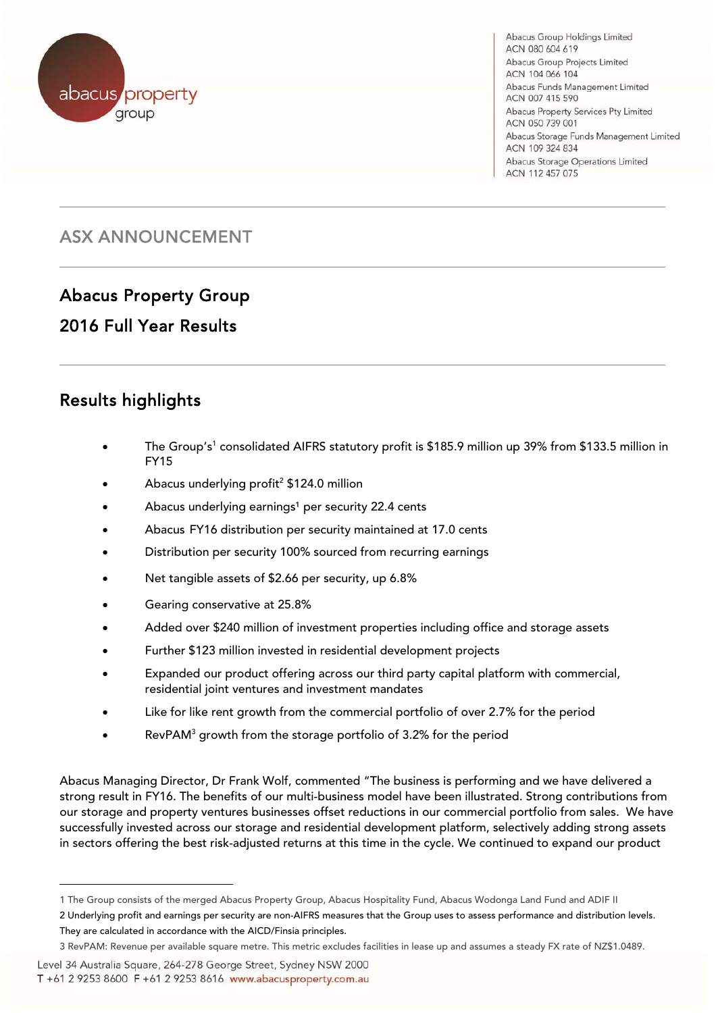

Abacus Group Holdings Limited ACN 080 604 619 Abacus Group Projects Limited ACN 104 066 104 Abacus Funds Management Limited ACN 007 415 590 Abacus Property Services Pty Limited ACN 050 739 001 Abacus Storage Funds Management Limited ACN 109 324 834 Abacus Storage Operations Limited ACN 112 457 075

## ASX ANNOUNCEMENT

# Abacus Property Group

### 2016 Full Year Results

#### $\overline{a}$ Results highlights

- The Group's<sup>1</sup> consolidated AIFRS statutory profit is \$185.9 million up 39% from \$133.5 million in FY15
- Abacus underlying profit<sup>2</sup> \$124.0 million
- Abacus underlying earnings<sup>1</sup> per security 22.4 cents
- Abacus FY16 distribution per security maintained at 17.0 cents
- Distribution per security 100% sourced from recurring earnings
- Net tangible assets of \$2.66 per security, up 6.8%
- Gearing conservative at 25.8%
- Added over \$240 million of investment properties including office and storage assets
- Further \$123 million invested in residential development projects
- Expanded our product offering across our third party capital platform with commercial, residential joint ventures and investment mandates
- Like for like rent growth from the commercial portfolio of over 2.7% for the period
- RevPAM<sup>3</sup> growth from the storage portfolio of 3.2% for the period

Abacus Managing Director, Dr Frank Wolf, commented "The business is performing and we have delivered a strong result in FY16. The benefits of our multi-business model have been illustrated. Strong contributions from our storage and property ventures businesses offset reductions in our commercial portfolio from sales. We have successfully invested across our storage and residential development platform, selectively adding strong assets in sectors offering the best risk-adjusted returns at this time in the cycle. We continued to expand our product

2 Underlying profit and earnings per security are non-AIFRS measures that the Group uses to assess performance and distribution levels. They are calculated in accordance with the AICD/Finsia principles.

l

<sup>1</sup> The Group consists of the merged Abacus Property Group, Abacus Hospitality Fund, Abacus Wodonga Land Fund and ADIF II

<sup>3</sup> RevPAM: Revenue per available square metre. This metric excludes facilities in lease up and assumes a steady FX rate of NZ\$1.0489.

Level 34 Australia Square, 264-278 George Street, Sydney NSW 2000

T +61 2 9253 8600 F +61 2 9253 8616 www.abacusproperty.com.au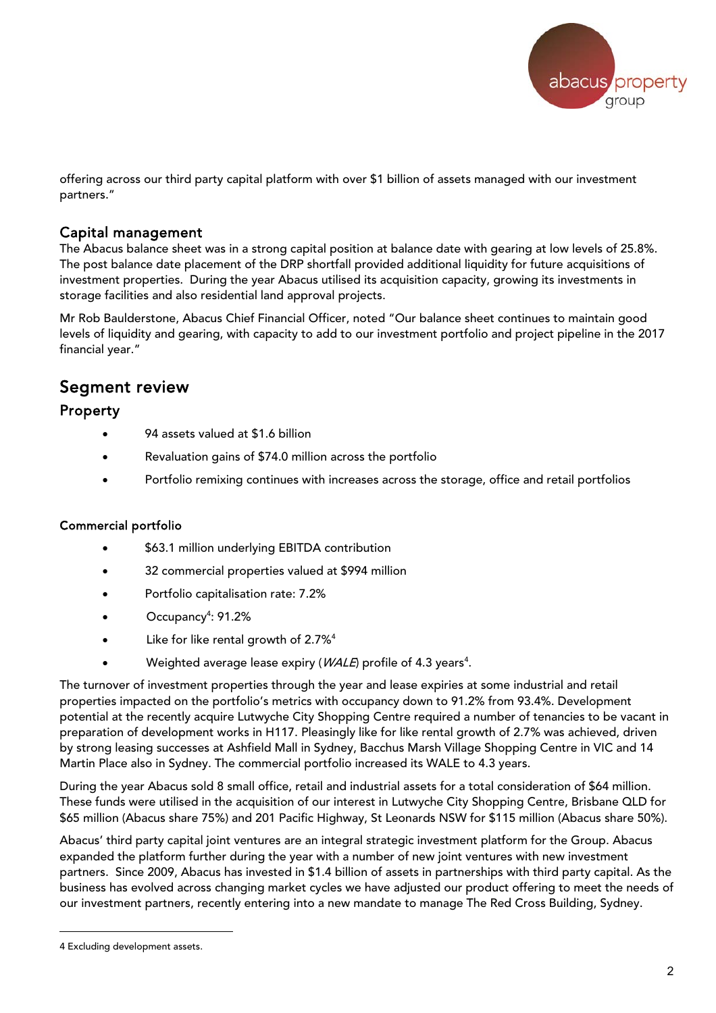

offering across our third party capital platform with over \$1 billion of assets managed with our investment partners."

#### Capital management

The Abacus balance sheet was in a strong capital position at balance date with gearing at low levels of 25.8%. The post balance date placement of the DRP shortfall provided additional liquidity for future acquisitions of investment properties. During the year Abacus utilised its acquisition capacity, growing its investments in storage facilities and also residential land approval projects.

Mr Rob Baulderstone, Abacus Chief Financial Officer, noted "Our balance sheet continues to maintain good levels of liquidity and gearing, with capacity to add to our investment portfolio and project pipeline in the 2017 financial year."

### Segment review

#### Property

- 94 assets valued at \$1.6 billion
- Revaluation gains of \$74.0 million across the portfolio
- Portfolio remixing continues with increases across the storage, office and retail portfolios

#### Commercial portfolio

- \$63.1 million underlying EBITDA contribution
- 32 commercial properties valued at \$994 million
- Portfolio capitalisation rate: 7.2%
- Occupancy<sup>4</sup>: 91.2%
- Like for like rental growth of 2.7%<sup>4</sup>
- Weighted average lease expiry ( $WALE$ ) profile of 4.3 years<sup>4</sup>.

The turnover of investment properties through the year and lease expiries at some industrial and retail properties impacted on the portfolio's metrics with occupancy down to 91.2% from 93.4%. Development potential at the recently acquire Lutwyche City Shopping Centre required a number of tenancies to be vacant in preparation of development works in H117. Pleasingly like for like rental growth of 2.7% was achieved, driven by strong leasing successes at Ashfield Mall in Sydney, Bacchus Marsh Village Shopping Centre in VIC and 14 Martin Place also in Sydney. The commercial portfolio increased its WALE to 4.3 years.

During the year Abacus sold 8 small office, retail and industrial assets for a total consideration of \$64 million. These funds were utilised in the acquisition of our interest in Lutwyche City Shopping Centre, Brisbane QLD for \$65 million (Abacus share 75%) and 201 Pacific Highway, St Leonards NSW for \$115 million (Abacus share 50%).

Abacus' third party capital joint ventures are an integral strategic investment platform for the Group. Abacus expanded the platform further during the year with a number of new joint ventures with new investment partners. Since 2009, Abacus has invested in \$1.4 billion of assets in partnerships with third party capital. As the business has evolved across changing market cycles we have adjusted our product offering to meet the needs of our investment partners, recently entering into a new mandate to manage The Red Cross Building, Sydney.

l

<sup>4</sup> Excluding development assets.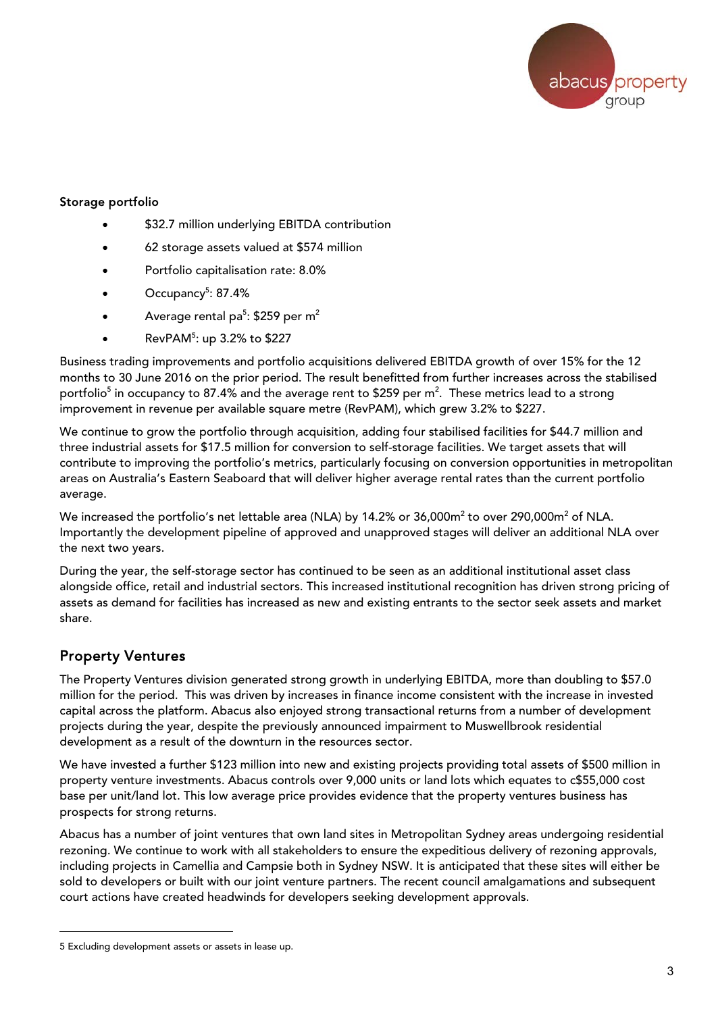

#### Storage portfolio

- \$32.7 million underlying EBITDA contribution
- 62 storage assets valued at \$574 million
- Portfolio capitalisation rate: 8.0%
- Occupancy<sup>5</sup>: 87.4%
- Average rental pa<sup>5</sup>: \$259 per m<sup>2</sup>
- Rev $PAM<sup>5</sup>$ : up 3.2% to \$227

Business trading improvements and portfolio acquisitions delivered EBITDA growth of over 15% for the 12 months to 30 June 2016 on the prior period. The result benefitted from further increases across the stabilised portfolio $^5$  in occupancy to 87.4% and the average rent to \$259 per m $^2. \,$  These metrics lead to a strong improvement in revenue per available square metre (RevPAM), which grew 3.2% to \$227.

We continue to grow the portfolio through acquisition, adding four stabilised facilities for \$44.7 million and three industrial assets for \$17.5 million for conversion to self-storage facilities. We target assets that will contribute to improving the portfolio's metrics, particularly focusing on conversion opportunities in metropolitan areas on Australia's Eastern Seaboard that will deliver higher average rental rates than the current portfolio average.

We increased the portfolio's net lettable area (NLA) by 14.2% or 36,000m<sup>2</sup> to over 290,000m<sup>2</sup> of NLA. Importantly the development pipeline of approved and unapproved stages will deliver an additional NLA over the next two years.

During the year, the self-storage sector has continued to be seen as an additional institutional asset class alongside office, retail and industrial sectors. This increased institutional recognition has driven strong pricing of assets as demand for facilities has increased as new and existing entrants to the sector seek assets and market share.

#### Property Ventures

l

The Property Ventures division generated strong growth in underlying EBITDA, more than doubling to \$57.0 million for the period. This was driven by increases in finance income consistent with the increase in invested capital across the platform. Abacus also enjoyed strong transactional returns from a number of development projects during the year, despite the previously announced impairment to Muswellbrook residential development as a result of the downturn in the resources sector.

We have invested a further \$123 million into new and existing projects providing total assets of \$500 million in property venture investments. Abacus controls over 9,000 units or land lots which equates to c\$55,000 cost base per unit/land lot. This low average price provides evidence that the property ventures business has prospects for strong returns.

Abacus has a number of joint ventures that own land sites in Metropolitan Sydney areas undergoing residential rezoning. We continue to work with all stakeholders to ensure the expeditious delivery of rezoning approvals, including projects in Camellia and Campsie both in Sydney NSW. It is anticipated that these sites will either be sold to developers or built with our joint venture partners. The recent council amalgamations and subsequent court actions have created headwinds for developers seeking development approvals.

<sup>5</sup> Excluding development assets or assets in lease up.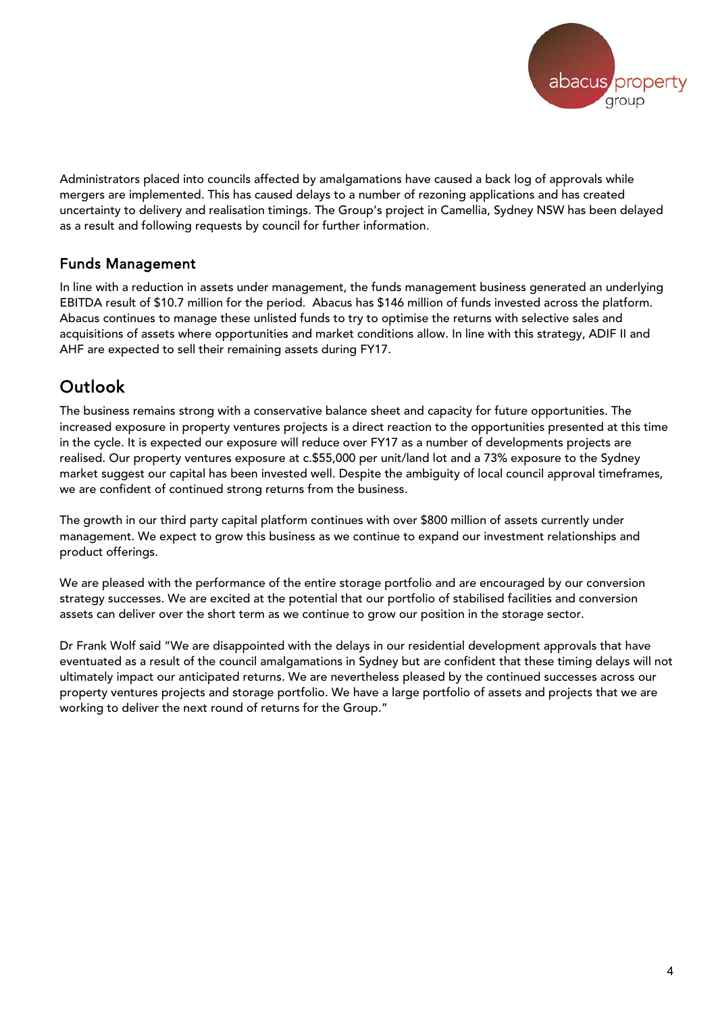

Administrators placed into councils affected by amalgamations have caused a back log of approvals while mergers are implemented. This has caused delays to a number of rezoning applications and has created uncertainty to delivery and realisation timings. The Group's project in Camellia, Sydney NSW has been delayed as a result and following requests by council for further information.

### Funds Management

In line with a reduction in assets under management, the funds management business generated an underlying EBITDA result of \$10.7 million for the period. Abacus has \$146 million of funds invested across the platform. Abacus continues to manage these unlisted funds to try to optimise the returns with selective sales and acquisitions of assets where opportunities and market conditions allow. In line with this strategy, ADIF II and AHF are expected to sell their remaining assets during FY17.

### Outlook

The business remains strong with a conservative balance sheet and capacity for future opportunities. The increased exposure in property ventures projects is a direct reaction to the opportunities presented at this time in the cycle. It is expected our exposure will reduce over FY17 as a number of developments projects are realised. Our property ventures exposure at c.\$55,000 per unit/land lot and a 73% exposure to the Sydney market suggest our capital has been invested well. Despite the ambiguity of local council approval timeframes, we are confident of continued strong returns from the business.

The growth in our third party capital platform continues with over \$800 million of assets currently under management. We expect to grow this business as we continue to expand our investment relationships and product offerings.

We are pleased with the performance of the entire storage portfolio and are encouraged by our conversion strategy successes. We are excited at the potential that our portfolio of stabilised facilities and conversion assets can deliver over the short term as we continue to grow our position in the storage sector.

Dr Frank Wolf said "We are disappointed with the delays in our residential development approvals that have eventuated as a result of the council amalgamations in Sydney but are confident that these timing delays will not ultimately impact our anticipated returns. We are nevertheless pleased by the continued successes across our property ventures projects and storage portfolio. We have a large portfolio of assets and projects that we are working to deliver the next round of returns for the Group."